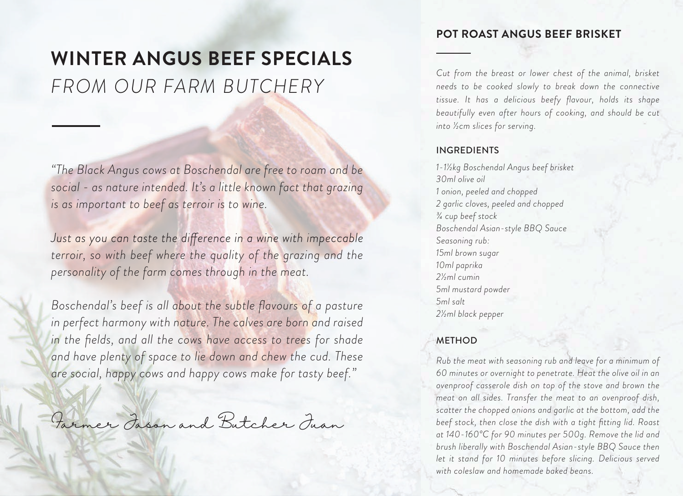# **WINTER ANGUS BEEF SPECIALS** *FROM OUR FARM BUTCHERY*

*"The Black Angus cows at Boschendal are free to roam and be social - as nature intended. It's a little known fact that grazing is as important to beef as terroir is to wine.*

Just as you can taste the difference in a wine with impeccable *terroir, so with beef where the quality of the grazing and the personality of the farm comes through in the meat.*

*Boschendal's beef is all about the subtle flavours of a pasture in perfect harmony with nature. The calves are born and raised in the fields, and all the cows have access to trees for shade and have plenty of space to lie down and chew the cud. These are social, happy cows and happy cows make for tasty beef."*

Farmer Jason and Butcher Juan

## **POT ROAST ANGUS BEEF BRISKET**

*Cut from the breast or lower chest of the animal, brisket needs to be cooked slowly to break down the connective tissue. It has a delicious beefy flavour, holds its shape beautifully even after hours of cooking, and should be cut into ½cm slices for serving.*

### INGREDIENTS

*1-1½kg Boschendal Angus beef brisket 30ml olive oil 1 onion, peeled and chopped 2 garlic cloves, peeled and chopped ¾ cup beef stock Boschendal Asian-style BBQ Sauce Seasoning rub: 15ml brown sugar 10ml paprika 2½ml cumin 5ml mustard powder 5ml salt 2½ml black pepper* 

## METHOD

*Rub the meat with seasoning rub and leave for a minimum of 60 minutes or overnight to penetrate. Heat the olive oil in an ovenproof casserole dish on top of the stove and brown the meat on all sides. Transfer the meat to an ovenproof dish, scatter the chopped onions and garlic at the bottom, add the beef stock, then close the dish with a tight fitting lid. Roast at 140-160°C for 90 minutes per 500g. Remove the lid and brush liberally with Boschendal Asian-style BBQ Sauce then let it stand for 10 minutes before slicing. Delicious served with coleslaw and homemade baked beans.*